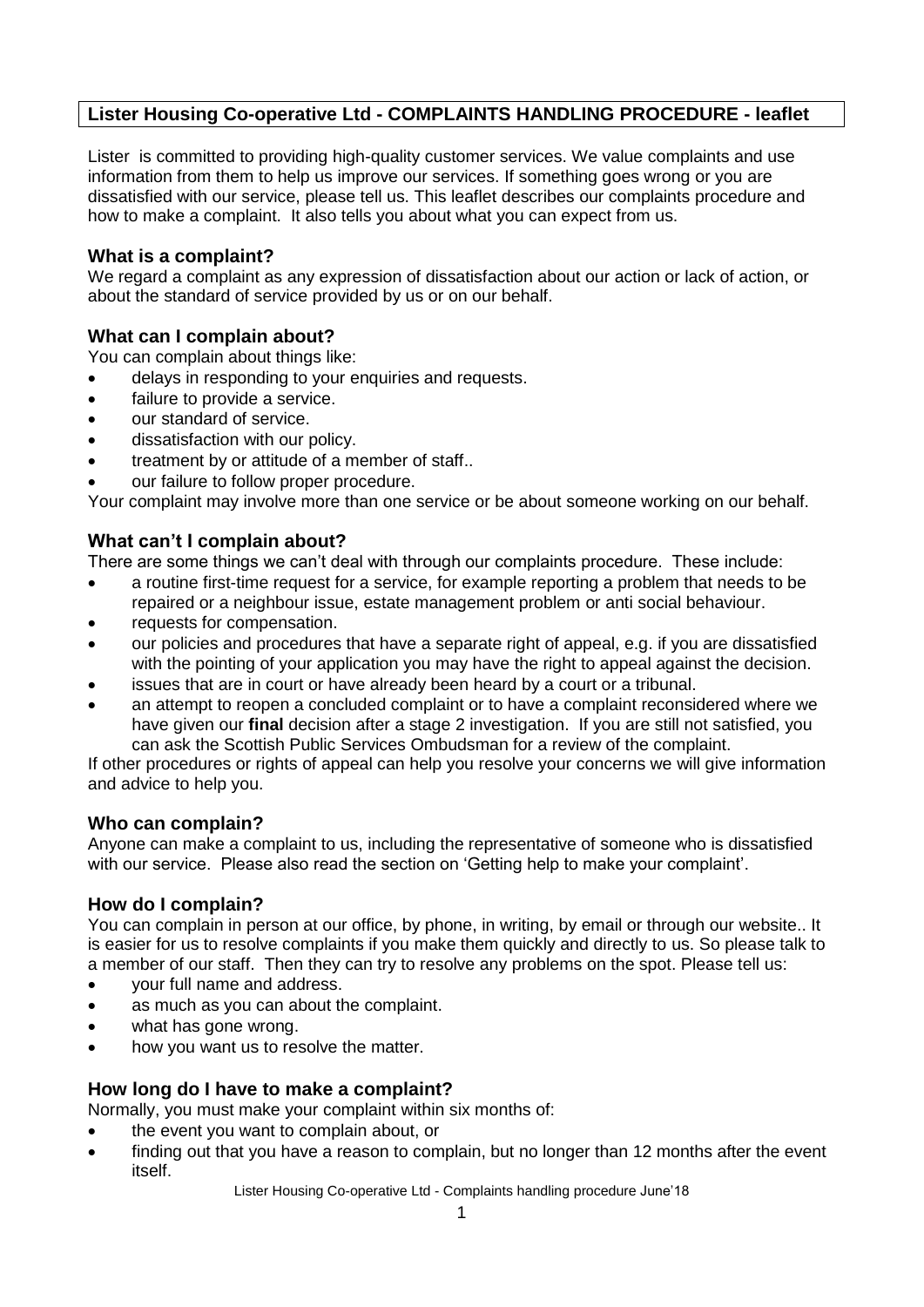## **Lister Housing Co-operative Ltd - COMPLAINTS HANDLING PROCEDURE - leaflet**

Lister is committed to providing high-quality customer services. We value complaints and use information from them to help us improve our services. If something goes wrong or you are dissatisfied with our service, please tell us. This leaflet describes our complaints procedure and how to make a complaint. It also tells you about what you can expect from us.

### **What is a complaint?**

We regard a complaint as any expression of dissatisfaction about our action or lack of action, or about the standard of service provided by us or on our behalf.

### **What can I complain about?**

You can complain about things like:

- delays in responding to your enquiries and requests.
- failure to provide a service.
- our standard of service.
- dissatisfaction with our policy.
- treatment by or attitude of a member of staff..
- our failure to follow proper procedure.

Your complaint may involve more than one service or be about someone working on our behalf.

### **What can't I complain about?**

There are some things we can't deal with through our complaints procedure. These include:

- a routine first-time request for a service, for example reporting a problem that needs to be repaired or a neighbour issue, estate management problem or anti social behaviour.
- requests for compensation.
- our policies and procedures that have a separate right of appeal, e.g. if you are dissatisfied with the pointing of your application you may have the right to appeal against the decision.
- issues that are in court or have already been heard by a court or a tribunal.
- an attempt to reopen a concluded complaint or to have a complaint reconsidered where we have given our **final** decision after a stage 2 investigation. If you are still not satisfied, you can ask the Scottish Public Services Ombudsman for a review of the complaint.

If other procedures or rights of appeal can help you resolve your concerns we will give information and advice to help you.

## **Who can complain?**

Anyone can make a complaint to us, including the representative of someone who is dissatisfied with our service. Please also read the section on 'Getting help to make your complaint'.

#### **How do I complain?**

You can complain in person at our office, by phone, in writing, by email or through our website.. It is easier for us to resolve complaints if you make them quickly and directly to us. So please talk to a member of our staff. Then they can try to resolve any problems on the spot. Please tell us:

- vour full name and address.
- as much as you can about the complaint.
- what has gone wrong.
- how you want us to resolve the matter.

## **How long do I have to make a complaint?**

Normally, you must make your complaint within six months of:

- the event you want to complain about, or
- finding out that you have a reason to complain, but no longer than 12 months after the event itself.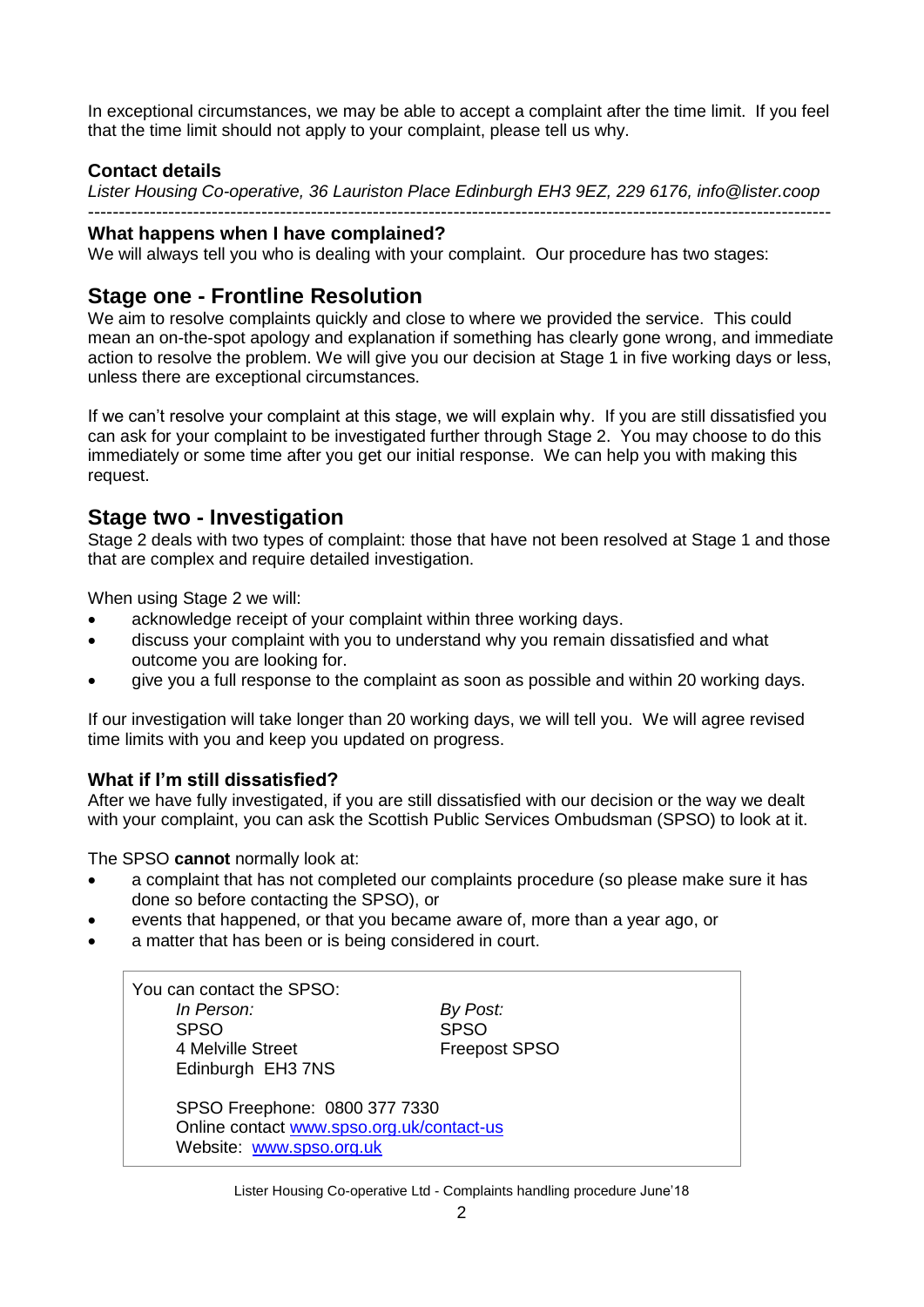In exceptional circumstances, we may be able to accept a complaint after the time limit. If you feel that the time limit should not apply to your complaint, please tell us why.

### **Contact details**

*Lister Housing Co-operative, 36 Lauriston Place Edinburgh EH3 9EZ, 229 6176, info@lister.coop*

#### ------------------------------------------------------------------------------------------------------------------------ **What happens when I have complained?**

We will always tell you who is dealing with your complaint. Our procedure has two stages:

# **Stage one - Frontline Resolution**

We aim to resolve complaints quickly and close to where we provided the service. This could mean an on-the-spot apology and explanation if something has clearly gone wrong, and immediate action to resolve the problem. We will give you our decision at Stage 1 in five working days or less, unless there are exceptional circumstances.

If we can't resolve your complaint at this stage, we will explain why. If you are still dissatisfied you can ask for your complaint to be investigated further through Stage 2. You may choose to do this immediately or some time after you get our initial response. We can help you with making this request.

## **Stage two - Investigation**

Stage 2 deals with two types of complaint: those that have not been resolved at Stage 1 and those that are complex and require detailed investigation.

When using Stage 2 we will:

- acknowledge receipt of your complaint within three working days.
- discuss your complaint with you to understand why you remain dissatisfied and what outcome you are looking for.
- give you a full response to the complaint as soon as possible and within 20 working days.

If our investigation will take longer than 20 working days, we will tell you. We will agree revised time limits with you and keep you updated on progress.

## **What if I'm still dissatisfied?**

After we have fully investigated, if you are still dissatisfied with our decision or the way we dealt with your complaint, you can ask the Scottish Public Services Ombudsman (SPSO) to look at it.

The SPSO **cannot** normally look at:

- a complaint that has not completed our complaints procedure (so please make sure it has done so before contacting the SPSO), or
- events that happened, or that you became aware of, more than a year ago, or
- a matter that has been or is being considered in court.

| You can contact the SPSO:<br>In Person:<br><b>SPSO</b><br>4 Melville Street<br>Edinburgh EH3 7NS       | By Post:<br><b>SPSO</b><br><b>Freepost SPSO</b> |
|--------------------------------------------------------------------------------------------------------|-------------------------------------------------|
| SPSO Freephone: 0800 377 7330<br>Online contact www.spso.org.uk/contact-us<br>Website: www.spso.org.uk |                                                 |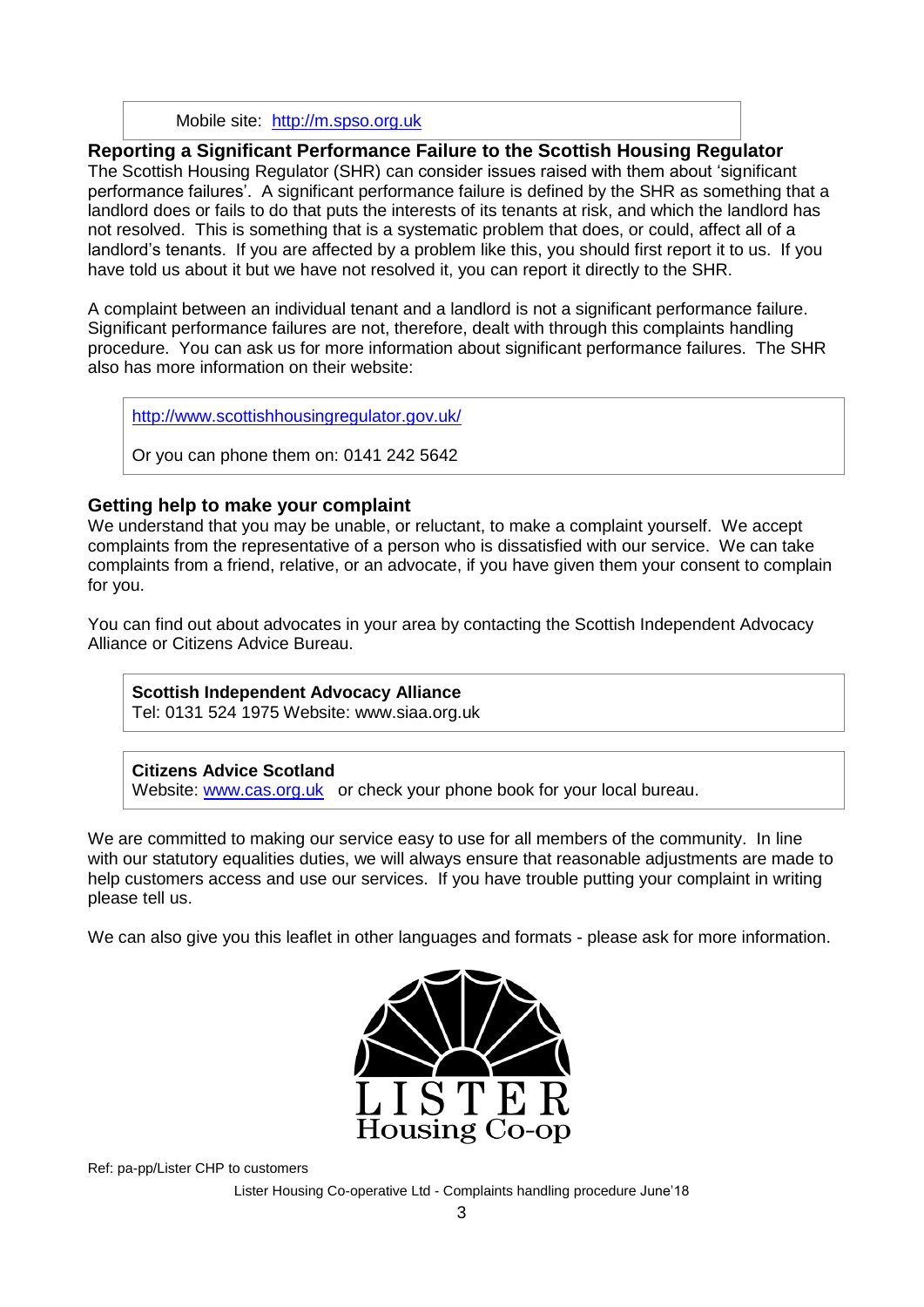Mobile site: [http://m.spso.org.uk](http://m.spso.org.uk/)

**Reporting a Significant Performance Failure to the Scottish Housing Regulator** The Scottish Housing Regulator (SHR) can consider issues raised with them about 'significant performance failures'. A significant performance failure is defined by the SHR as something that a landlord does or fails to do that puts the interests of its tenants at risk, and which the landlord has not resolved. This is something that is a systematic problem that does, or could, affect all of a landlord's tenants. If you are affected by a problem like this, you should first report it to us. If you have told us about it but we have not resolved it, you can report it directly to the SHR.

A complaint between an individual tenant and a landlord is not a significant performance failure. Significant performance failures are not, therefore, dealt with through this complaints handling procedure. You can ask us for more information about significant performance failures. The SHR also has more information on their website:

<http://www.scottishhousingregulator.gov.uk/>

Or you can phone them on: 0141 242 5642

## **Getting help to make your complaint**

We understand that you may be unable, or reluctant, to make a complaint yourself. We accept complaints from the representative of a person who is dissatisfied with our service. We can take complaints from a friend, relative, or an advocate, if you have given them your consent to complain for you.

You can find out about advocates in your area by contacting the Scottish Independent Advocacy Alliance or Citizens Advice Bureau.

**Scottish Independent Advocacy Alliance** Tel: 0131 524 1975 Website: www.siaa.org.uk

#### **Citizens Advice Scotland**

Website: [www.cas.org.uk](http://www.cas.org.uk/) or check your phone book for your local bureau.

We are committed to making our service easy to use for all members of the community. In line with our statutory equalities duties, we will always ensure that reasonable adjustments are made to help customers access and use our services. If you have trouble putting your complaint in writing please tell us.

We can also give you this leaflet in other languages and formats - please ask for more information.



Ref: pa-pp/Lister CHP to customers